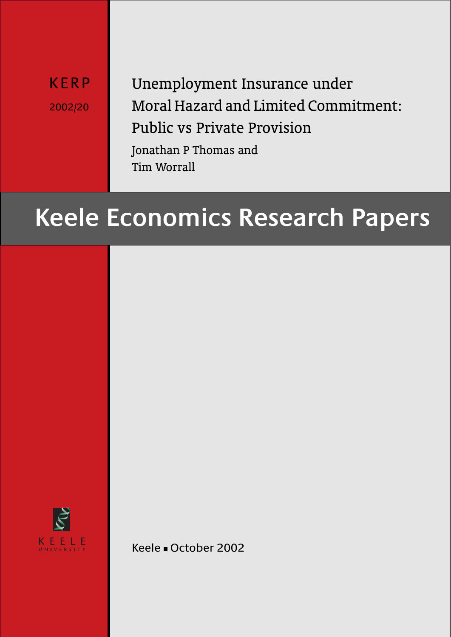KERP 2002/20 Unemployment Insurance under Moral Hazard and Limited Commitment: Public vs Private Provision Jonathan P Thomas and

Tim Worrall

# **Keele Economics Research Papers**



Keele - October 2002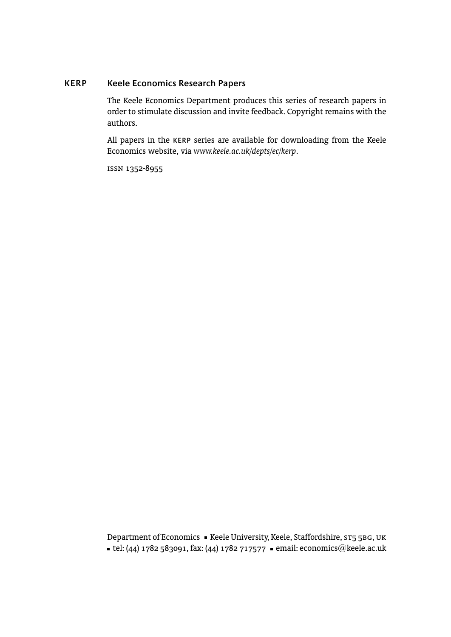# **KERP Keele Economics Research Papers**

The Keele Economics Department produces this series of research papers in order to stimulate discussion and invite feedback. Copyright remains with the authors.

All papers in the kerp series are available for downloading from the Keele Economics website, via *www.keele.ac.uk/depts/ec/kerp*.

issn 1352-8955

Department of Economics · Keele University, Keele, Staffordshire, ST5 5BG, UK ■ tel: (44) 1782 583091, fax: (44) 1782 717577 ■ email: economics@keele.ac.uk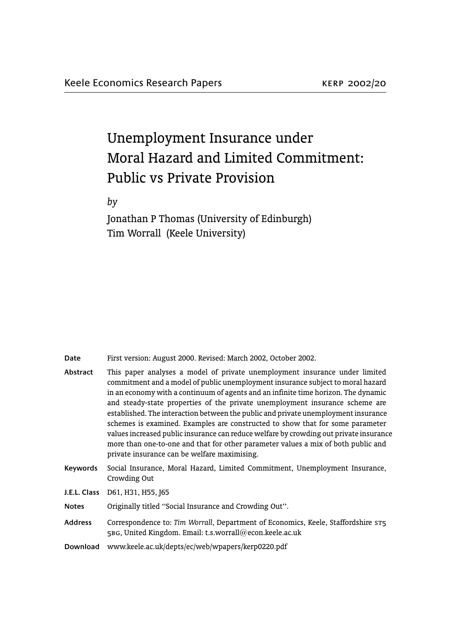# Unemployment Insurance under Moral Hazard and Limited Commitment: Public vs Private Provision

*by*

Jonathan P Thomas (University of Edinburgh) Tim Worrall (Keele University)

**Date** First version: August 2000. Revised: March 2002, October 2002.

| Abstract       | This paper analyses a model of private unemployment insurance under limited<br>commitment and a model of public unemployment insurance subject to moral hazard<br>in an economy with a continuum of agents and an infinite time horizon. The dynamic<br>and steady-state properties of the private unemployment insurance scheme are<br>established. The interaction between the public and private unemployment insurance<br>schemes is examined. Examples are constructed to show that for some parameter<br>values increased public insurance can reduce welfare by crowding out private insurance<br>more than one-to-one and that for other parameter values a mix of both public and<br>private insurance can be welfare maximising. |
|----------------|--------------------------------------------------------------------------------------------------------------------------------------------------------------------------------------------------------------------------------------------------------------------------------------------------------------------------------------------------------------------------------------------------------------------------------------------------------------------------------------------------------------------------------------------------------------------------------------------------------------------------------------------------------------------------------------------------------------------------------------------|
| Keywords       | Social Insurance, Moral Hazard, Limited Commitment, Unemployment Insurance,<br>Crowding Out                                                                                                                                                                                                                                                                                                                                                                                                                                                                                                                                                                                                                                                |
|                | J.E.L. Class D61, H31, H55, J65                                                                                                                                                                                                                                                                                                                                                                                                                                                                                                                                                                                                                                                                                                            |
| <b>Notes</b>   | Originally titled "Social Insurance and Crowding Out".                                                                                                                                                                                                                                                                                                                                                                                                                                                                                                                                                                                                                                                                                     |
| <b>Address</b> | Correspondence to: Tim Worrall, Department of Economics, Keele, Staffordshire ST5<br>5BG, United Kingdom. Email: t.s.worrall@econ.keele.ac.uk                                                                                                                                                                                                                                                                                                                                                                                                                                                                                                                                                                                              |
| Download       | www.keele.ac.uk/depts/ec/web/wpapers/kerp0220.pdf                                                                                                                                                                                                                                                                                                                                                                                                                                                                                                                                                                                                                                                                                          |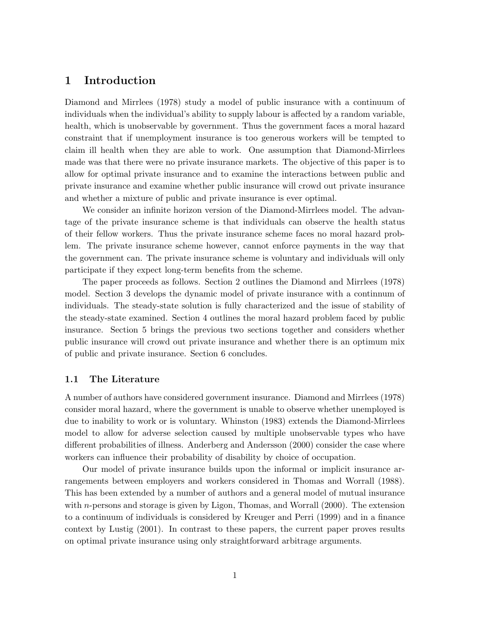# 1 Introduction

Diamond and Mirrlees (1978) study a model of public insurance with a continuum of individuals when the individual's ability to supply labour is affected by a random variable, health, which is unobservable by government. Thus the government faces a moral hazard constraint that if unemployment insurance is too generous workers will be tempted to claim ill health when they are able to work. One assumption that Diamond-Mirrlees made was that there were no private insurance markets. The objective of this paper is to allow for optimal private insurance and to examine the interactions between public and private insurance and examine whether public insurance will crowd out private insurance and whether a mixture of public and private insurance is ever optimal.

We consider an infinite horizon version of the Diamond-Mirrlees model. The advantage of the private insurance scheme is that individuals can observe the health status of their fellow workers. Thus the private insurance scheme faces no moral hazard problem. The private insurance scheme however, cannot enforce payments in the way that the government can. The private insurance scheme is voluntary and individuals will only participate if they expect long-term benefits from the scheme.

The paper proceeds as follows. Section 2 outlines the Diamond and Mirrlees (1978) model. Section 3 develops the dynamic model of private insurance with a continnum of individuals. The steady-state solution is fully characterized and the issue of stability of the steady-state examined. Section 4 outlines the moral hazard problem faced by public insurance. Section 5 brings the previous two sections together and considers whether public insurance will crowd out private insurance and whether there is an optimum mix of public and private insurance. Section 6 concludes.

#### 1.1 The Literature

A number of authors have considered government insurance. Diamond and Mirrlees (1978) consider moral hazard, where the government is unable to observe whether unemployed is due to inability to work or is voluntary. Whinston (1983) extends the Diamond-Mirrlees model to allow for adverse selection caused by multiple unobservable types who have different probabilities of illness. Anderberg and Andersson (2000) consider the case where workers can influence their probability of disability by choice of occupation.

Our model of private insurance builds upon the informal or implicit insurance arrangements between employers and workers considered in Thomas and Worrall (1988). This has been extended by a number of authors and a general model of mutual insurance with *n*-persons and storage is given by Ligon, Thomas, and Worrall  $(2000)$ . The extension to a continuum of individuals is considered by Kreuger and Perri (1999) and in a finance context by Lustig (2001). In contrast to these papers, the current paper proves results on optimal private insurance using only straightforward arbitrage arguments.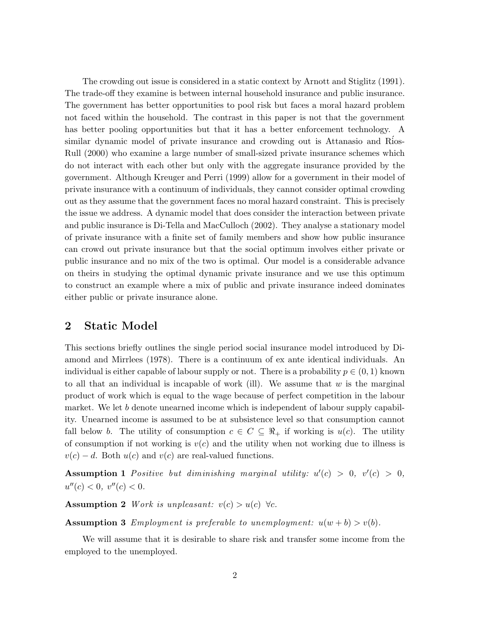The crowding out issue is considered in a static context by Arnott and Stiglitz (1991). The trade-off they examine is between internal household insurance and public insurance. The government has better opportunities to pool risk but faces a moral hazard problem not faced within the household. The contrast in this paper is not that the government has better pooling opportunities but that it has a better enforcement technology. A similar dynamic model of private insurance and crowding out is Attanasio and Rios-Rull (2000) who examine a large number of small-sized private insurance schemes which do not interact with each other but only with the aggregate insurance provided by the government. Although Kreuger and Perri (1999) allow for a government in their model of private insurance with a continuum of individuals, they cannot consider optimal crowding out as they assume that the government faces no moral hazard constraint. This is precisely the issue we address. A dynamic model that does consider the interaction between private and public insurance is Di-Tella and MacCulloch (2002). They analyse a stationary model of private insurance with a finite set of family members and show how public insurance can crowd out private insurance but that the social optimum involves either private or public insurance and no mix of the two is optimal. Our model is a considerable advance on theirs in studying the optimal dynamic private insurance and we use this optimum to construct an example where a mix of public and private insurance indeed dominates either public or private insurance alone.

# 2 Static Model

This sections briefly outlines the single period social insurance model introduced by Diamond and Mirrlees (1978). There is a continuum of ex ante identical individuals. An individual is either capable of labour supply or not. There is a probability  $p \in (0, 1)$  known to all that an individual is incapable of work (ill). We assume that  $w$  is the marginal product of work which is equal to the wage because of perfect competition in the labour market. We let b denote unearned income which is independent of labour supply capability. Unearned income is assumed to be at subsistence level so that consumption cannot fall below b. The utility of consumption  $c \in C \subseteq \mathbb{R}_+$  if working is  $u(c)$ . The utility of consumption if not working is  $v(c)$  and the utility when not working due to illness is  $v(c) - d$ . Both  $u(c)$  and  $v(c)$  are real-valued functions.

**Assumption 1** Positive but diminishing marginal utility:  $u'(c) > 0$ ,  $v'(c) > 0$ ,  $u''(c) < 0, v''(c) < 0.$ 

Assumption 2 Work is unpleasant:  $v(c) > u(c) \ \forall c$ .

**Assumption 3** Employment is preferable to unemployment:  $u(w + b) > v(b)$ .

We will assume that it is desirable to share risk and transfer some income from the employed to the unemployed.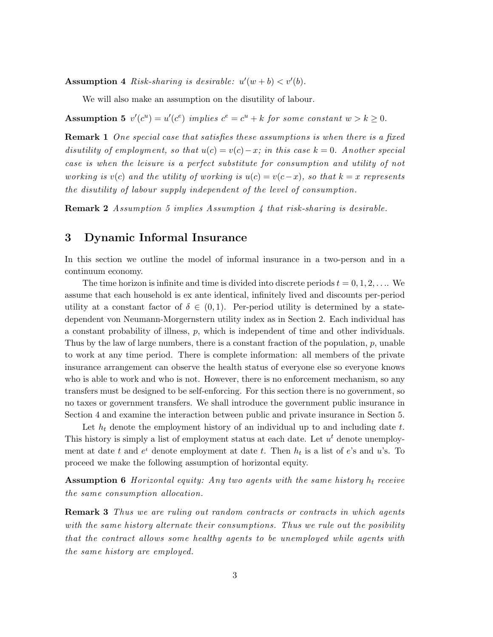**Assumption 4** Risk-sharing is desirable:  $u'(w + b) < v'(b)$ .

We will also make an assumption on the disutility of labour.

**Assumption 5**  $v'(c^u) = u'(c^e)$  implies  $c^e = c^u + k$  for some constant  $w > k \ge 0$ .

**Remark 1** One special case that satisfies these assumptions is when there is a fixed disutility of employment, so that  $u(c) = v(c) - x$ ; in this case  $k = 0$ . Another special case is when the leisure is a perfect substitute for consumption and utility of not working is v(c) and the utility of working is  $u(c) = v(c-x)$ , so that  $k = x$  represents the disutility of labour supply independent of the level of consumption.

Remark 2 Assumption 5 implies Assumption 4 that risk-sharing is desirable.

# 3 Dynamic Informal Insurance

In this section we outline the model of informal insurance in a two-person and in a continuum economy.

The time horizon is infinite and time is divided into discrete periods  $t = 0, 1, 2, \ldots$  We assume that each household is ex ante identical, infinitely lived and discounts per-period utility at a constant factor of  $\delta \in (0,1)$ . Per-period utility is determined by a statedependent von Neumann-Morgernstern utility index as in Section 2. Each individual has a constant probability of illness, p, which is independent of time and other individuals. Thus by the law of large numbers, there is a constant fraction of the population,  $p$ , unable to work at any time period. There is complete information: all members of the private insurance arrangement can observe the health status of everyone else so everyone knows who is able to work and who is not. However, there is no enforcement mechanism, so any transfers must be designed to be self-enforcing. For this section there is no government, so no taxes or government transfers. We shall introduce the government public insurance in Section 4 and examine the interaction between public and private insurance in Section 5.

Let  $h_t$  denote the employment history of an individual up to and including date  $t$ . This history is simply a list of employment status at each date. Let  $u<sup>t</sup>$  denote unemployment at date t and  $e^t$  denote employment at date t. Then  $h_t$  is a list of  $e$ 's and u's. To proceed we make the following assumption of horizontal equity.

**Assumption 6** Horizontal equity: Any two agents with the same history  $h_t$  receive the same consumption allocation.

**Remark 3** Thus we are ruling out random contracts or contracts in which agents with the same history alternate their consumptions. Thus we rule out the posibility that the contract allows some healthy agents to be unemployed while agents with the same history are employed.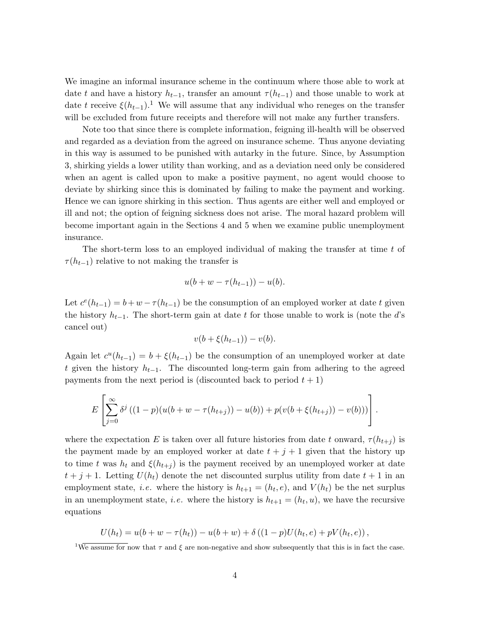We imagine an informal insurance scheme in the continuum where those able to work at date t and have a history  $h_{t-1}$ , transfer an amount  $\tau(h_{t-1})$  and those unable to work at date t receive  $\xi(h_{t-1})$ .<sup>1</sup> We will assume that any individual who reneges on the transfer will be excluded from future receipts and therefore will not make any further transfers.

Note too that since there is complete information, feigning ill-health will be observed and regarded as a deviation from the agreed on insurance scheme. Thus anyone deviating in this way is assumed to be punished with autarky in the future. Since, by Assumption 3, shirking yields a lower utility than working, and as a deviation need only be considered when an agent is called upon to make a positive payment, no agent would choose to deviate by shirking since this is dominated by failing to make the payment and working. Hence we can ignore shirking in this section. Thus agents are either well and employed or ill and not; the option of feigning sickness does not arise. The moral hazard problem will become important again in the Sections 4 and 5 when we examine public unemployment insurance.

The short-term loss to an employed individual of making the transfer at time t of  $\tau(h_{t-1})$  relative to not making the transfer is

$$
u(b + w - \tau(h_{t-1})) - u(b).
$$

Let  $c^{e}(h_{t-1}) = b + w - \tau(h_{t-1})$  be the consumption of an employed worker at date t given the history  $h_{t-1}$ . The short-term gain at date t for those unable to work is (note the d's cancel out)

$$
v(b+\xi(h_{t-1})) - v(b).
$$

Again let  $c^{u}(h_{t-1}) = b + \xi(h_{t-1})$  be the consumption of an unemployed worker at date t given the history  $h_{t-1}$ . The discounted long-term gain from adhering to the agreed payments from the next period is (discounted back to period  $t + 1$ )

$$
E\left[\sum_{j=0}^{\infty} \delta^{j} \left( (1-p)(u(b+w-\tau(h_{t+j})) - u(b)) + p(v(b+\xi(h_{t+j})) - v(b)) \right) \right].
$$

where the expectation E is taken over all future histories from date t onward,  $\tau(h_{t+i})$  is the payment made by an employed worker at date  $t + j + 1$  given that the history up to time t was  $h_t$  and  $\xi(h_{t+i})$  is the payment received by an unemployed worker at date  $t + j + 1$ . Letting  $U(h_t)$  denote the net discounted surplus utility from date  $t + 1$  in an employment state, *i.e.* where the history is  $h_{t+1} = (h_t, e)$ , and  $V(h_t)$  be the net surplus in an unemployment state, *i.e.* where the history is  $h_{t+1} = (h_t, u)$ , we have the recursive equations

$$
U(h_t) = u(b + w - \tau(h_t)) - u(b + w) + \delta((1 - p)U(h_t, e) + pV(h_t, e)),
$$

<sup>&</sup>lt;sup>1</sup>We assume for now that  $\tau$  and  $\xi$  are non-negative and show subsequently that this is in fact the case.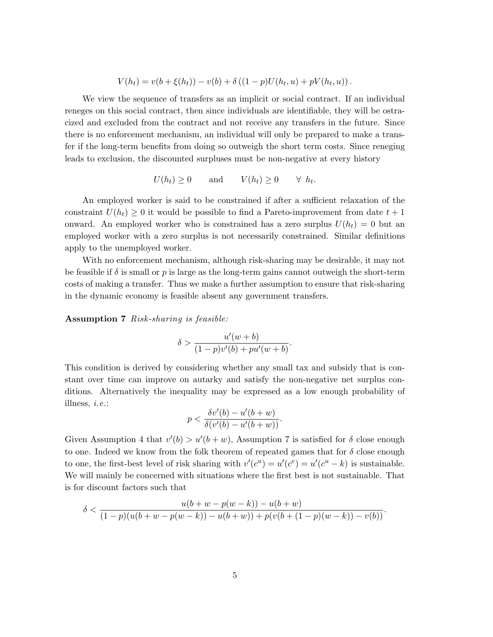$$
V(h_t) = v(b + \xi(h_t)) - v(b) + \delta ((1 - p)U(h_t, u) + pV(h_t, u)).
$$

We view the sequence of transfers as an implicit or social contract. If an individual reneges on this social contract, then since individuals are identifiable, they will be ostracized and excluded from the contract and not receive any transfers in the future. Since there is no enforcement mechanism, an individual will only be prepared to make a transfer if the long-term benefits from doing so outweigh the short term costs. Since reneging leads to exclusion, the discounted surpluses must be non-negative at every history

$$
U(h_t) \ge 0 \quad \text{and} \quad V(h_t) \ge 0 \quad \forall \ h_t.
$$

An employed worker is said to be constrained if after a sufficient relaxation of the constraint  $U(h_t) \geq 0$  it would be possible to find a Pareto-improvement from date  $t + 1$ onward. An employed worker who is constrained has a zero surplus  $U(h_t) = 0$  but an employed worker with a zero surplus is not necessarily constrained. Similar definitions apply to the unemployed worker.

With no enforcement mechanism, although risk-sharing may be desirable, it may not be feasible if  $\delta$  is small or p is large as the long-term gains cannot outweigh the short-term costs of making a transfer. Thus we make a further assumption to ensure that risk-sharing in the dynamic economy is feasible absent any government transfers.

Assumption 7 Risk-sharing is feasible:

$$
\delta > \frac{u'(w+b)}{(1-p)v'(b) + pu'(w+b)}.
$$

This condition is derived by considering whether any small tax and subsidy that is constant over time can improve on autarky and satisfy the non-negative net surplus conditions. Alternatively the inequality may be expressed as a low enough probability of illness,  $i.e.:$  $\sigma$   $\theta$  $\overline{\mathcal{O}}$ 

$$
p < \frac{\delta v'(b) - u'(b+w)}{\delta(v'(b) - u'(b+w))}.
$$

Given Assumption 4 that  $v'(b) > u'(b+w)$ , Assumption 7 is satisfied for  $\delta$  close enough to one. Indeed we know from the folk theorem of repeated games that for  $\delta$  close enough to one, the first-best level of risk sharing with  $v'(c^u) = u'(c^e) = u'(c^u - k)$  is sustainable. We will mainly be concerned with situations where the first best is not sustainable. That is for discount factors such that

$$
\delta < \frac{u(b+w-p(w-k))-u(b+w)}{(1-p)(u(b+w-p(w-k))-u(b+w)) + p(v(b+(1-p)(w-k))-v(b))}.
$$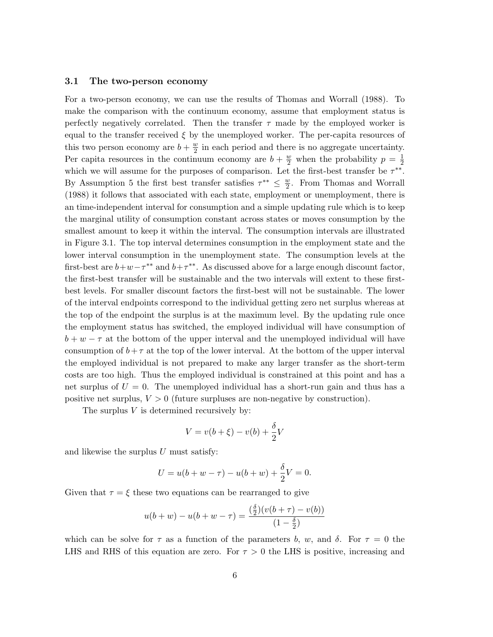#### 3.1 The two-person economy

For a two-person economy, we can use the results of Thomas and Worrall (1988). To make the comparison with the continuum economy, assume that employment status is perfectly negatively correlated. Then the transfer  $\tau$  made by the employed worker is equal to the transfer received  $\xi$  by the unemployed worker. The per-capita resources of this two person economy are  $b + \frac{w}{2}$  $\frac{w}{2}$  in each period and there is no aggregate uncertainty. Per capita resources in the continuum economy are  $b + \frac{w}{2}$  when the probability  $p = \frac{1}{2}$ 2 which we will assume for the purposes of comparison. Let the first-best transfer be  $\tau^{**}$ . By Assumption 5 the first best transfer satisfies  $\tau^{**} \leq \frac{w}{2}$  $\frac{w}{2}$ . From Thomas and Worrall (1988) it follows that associated with each state, employment or unemployment, there is an time-independent interval for consumption and a simple updating rule which is to keep the marginal utility of consumption constant across states or moves consumption by the smallest amount to keep it within the interval. The consumption intervals are illustrated in Figure 3.1. The top interval determines consumption in the employment state and the lower interval consumption in the unemployment state. The consumption levels at the first-best are  $b+w-\tau^{**}$  and  $b+\tau^{**}$ . As discussed above for a large enough discount factor, the first-best transfer will be sustainable and the two intervals will extent to these firstbest levels. For smaller discount factors the first-best will not be sustainable. The lower of the interval endpoints correspond to the individual getting zero net surplus whereas at the top of the endpoint the surplus is at the maximum level. By the updating rule once the employment status has switched, the employed individual will have consumption of  $b + w - \tau$  at the bottom of the upper interval and the unemployed individual will have consumption of  $b+\tau$  at the top of the lower interval. At the bottom of the upper interval the employed individual is not prepared to make any larger transfer as the short-term costs are too high. Thus the employed individual is constrained at this point and has a net surplus of  $U = 0$ . The unemployed individual has a short-run gain and thus has a positive net surplus,  $V > 0$  (future surpluses are non-negative by construction).

The surplus  $V$  is determined recursively by:

$$
V = v(b + \xi) - v(b) + \frac{\delta}{2}V
$$

and likewise the surplus  $U$  must satisfy:

$$
U = u(b + w - \tau) - u(b + w) + \frac{\delta}{2}V = 0.
$$

Given that  $\tau = \xi$  these two equations can be rearranged to give

$$
u(b+w) - u(b+w-\tau) = \frac{\left(\frac{\delta}{2}\right)(v(b+\tau) - v(b))}{\left(1 - \frac{\delta}{2}\right)}
$$

which can be solve for  $\tau$  as a function of the parameters b, w, and  $\delta$ . For  $\tau = 0$  the LHS and RHS of this equation are zero. For  $\tau > 0$  the LHS is positive, increasing and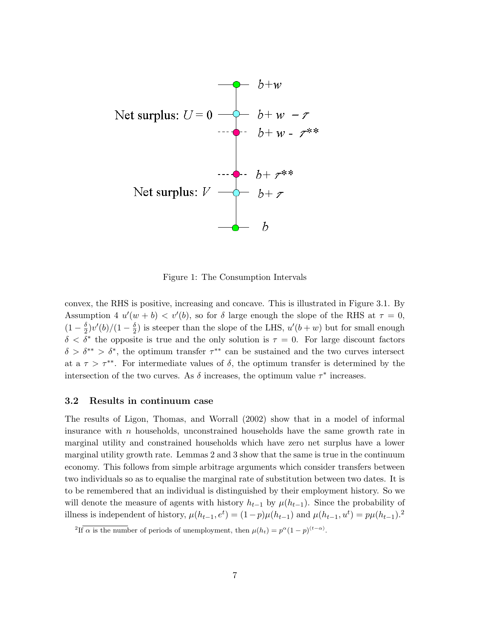

Figure 1: The Consumption Intervals

convex, the RHS is positive, increasing and concave. This is illustrated in Figure 3.1. By Assumption 4  $u'(w + b) < v'(b)$ , so for  $\delta$  large enough the slope of the RHS at  $\tau = 0$ ,  $(1-\frac{\delta}{2})$  $\frac{\delta}{2})v'(b)/(1-\frac{\delta}{2}$  $\frac{\delta}{2}$ ) is steeper than the slope of the LHS,  $u'(b+w)$  but for small enough  $\delta < \delta^*$  the opposite is true and the only solution is  $\tau = 0$ . For large discount factors  $\delta > \delta^{**} > \delta^*$ , the optimum transfer  $\tau^{**}$  can be sustained and the two curves intersect at a  $\tau > \tau^{**}$ . For intermediate values of  $\delta$ , the optimum transfer is determined by the intersection of the two curves. As  $\delta$  increases, the optimum value  $\tau^*$  increases.

#### 3.2 Results in continuum case

The results of Ligon, Thomas, and Worrall (2002) show that in a model of informal insurance with  $n$  households, unconstrained households have the same growth rate in marginal utility and constrained households which have zero net surplus have a lower marginal utility growth rate. Lemmas 2 and 3 show that the same is true in the continuum economy. This follows from simple arbitrage arguments which consider transfers between two individuals so as to equalise the marginal rate of substitution between two dates. It is to be remembered that an individual is distinguished by their employment history. So we will denote the measure of agents with history  $h_{t-1}$  by  $\mu(h_{t-1})$ . Since the probability of illness is independent of history,  $\mu(h_{t-1}, e^t) = (1-p)\mu(h_{t-1})$  and  $\mu(h_{t-1}, u^t) = p\mu(h_{t-1})$ .<sup>2</sup>

<sup>&</sup>lt;sup>2</sup>If  $\alpha$  is the number of periods of unemployment, then  $\mu(h_t) = p^{\alpha}(1-p)^{(t-\alpha)}$ .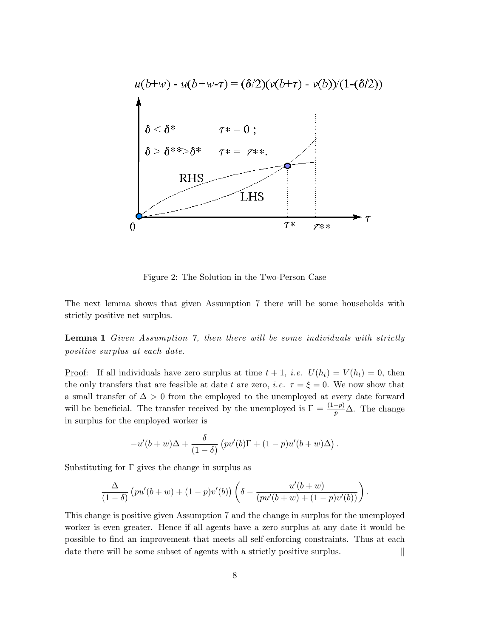

Figure 2: The Solution in the Two-Person Case

The next lemma shows that given Assumption 7 there will be some households with strictly positive net surplus.

Lemma 1 Given Assumption 7, then there will be some individuals with strictly positive surplus at each date.

<u>Proof</u>: If all individuals have zero surplus at time  $t + 1$ , *i.e.*  $U(h_t) = V(h_t) = 0$ , then the only transfers that are feasible at date t are zero, *i.e.*  $\tau = \xi = 0$ . We now show that a small transfer of  $\Delta > 0$  from the employed to the unemployed at every date forward will be beneficial. The transfer received by the unemployed is  $\Gamma = \frac{(1-p)}{p} \Delta$ . The change in surplus for the employed worker is

$$
-u'(b+w)\Delta + \frac{\delta}{(1-\delta)}\left(pv'(b)\Gamma + (1-p)u'(b+w)\Delta\right).
$$

Substituting for  $\Gamma$  gives the change in surplus as

$$
\frac{\Delta}{(1-\delta)}\left(pu'(b+w)+(1-p)v'(b)\right)\left(\delta-\frac{u'(b+w)}{(pu'(b+w)+(1-p)v'(b))}\right).
$$

This change is positive given Assumption 7 and the change in surplus for the unemployed worker is even greater. Hence if all agents have a zero surplus at any date it would be possible to find an improvement that meets all self-enforcing constraints. Thus at each date there will be some subset of agents with a strictly positive surplus.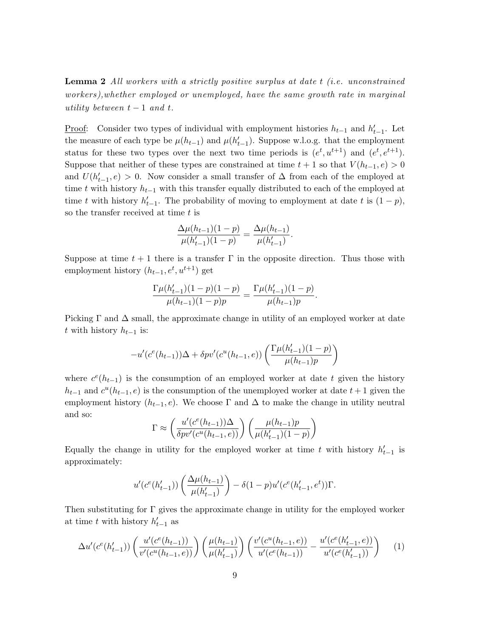Lemma 2 All workers with a strictly positive surplus at date t (i.e. unconstrained workers),whether employed or unemployed, have the same growth rate in marginal utility between  $t-1$  and  $t$ .

<u>Proof</u>: Consider two types of individual with employment histories  $h_{t-1}$  and  $h'_{t-1}$ . Let the measure of each type be  $\mu(h_{t-1})$  and  $\mu(h'_{t-1})$ . Suppose w.l.o.g. that the employment status for these two types over the next two time periods is  $(e^t, u^{t+1})$  and  $(e^t, e^{t+1})$ . Suppose that neither of these types are constrained at time  $t + 1$  so that  $V(h_{t-1}, e) > 0$ and  $U(h'_{t-1}, e) > 0$ . Now consider a small transfer of  $\Delta$  from each of the employed at time t with history  $h_{t-1}$  with this transfer equally distributed to each of the employed at time t with history  $h'_{t-1}$ . The probability of moving to employment at date t is  $(1 - p)$ , so the transfer received at time  $t$  is

$$
\frac{\Delta \mu(h_{t-1})(1-p)}{\mu(h'_{t-1})(1-p)} = \frac{\Delta \mu(h_{t-1})}{\mu(h'_{t-1})}.
$$

Suppose at time  $t+1$  there is a transfer  $\Gamma$  in the opposite direction. Thus those with employment history  $(h_{t-1}, e^t, u^{t+1})$  get

$$
\frac{\Gamma \mu(h'_{t-1})(1-p)(1-p)}{\mu(h_{t-1})(1-p)p} = \frac{\Gamma \mu(h'_{t-1})(1-p)}{\mu(h_{t-1})p}.
$$

Picking  $\Gamma$  and  $\Delta$  small, the approximate change in utility of an employed worker at date t with history  $h_{t-1}$  is:

$$
-u'(c^{e}(h_{t-1}))\Delta + \delta pv'(c^{u}(h_{t-1},e))\left(\frac{\Gamma\mu(h'_{t-1})(1-p)}{\mu(h_{t-1})p}\right)
$$

where  $c^{e}(h_{t-1})$  is the consumption of an employed worker at date t given the history  $h_{t-1}$  and  $c^{u}(h_{t-1}, e)$  is the consumption of the unemployed worker at date  $t+1$  given the employment history  $(h_{t-1}, e)$ . We choose  $\Gamma$  and  $\Delta$  to make the change in utility neutral and so:

$$
\Gamma \approx \left(\frac{u'(c^e(h_{t-1}))\Delta}{\delta pv'(c^u(h_{t-1},e))}\right) \left(\frac{\mu(h_{t-1})p}{\mu(h'_{t-1})(1-p)}\right)
$$

Equally the change in utility for the employed worker at time t with history  $h'_{t-1}$  is approximately:

$$
u'(c^{e}(h'_{t-1}))\left(\frac{\Delta\mu(h_{t-1})}{\mu(h'_{t-1})}\right) - \delta(1-p)u'(c^{e}(h'_{t-1},e^{t}))\Gamma.
$$

Then substituting for  $\Gamma$  gives the approximate change in utility for the employed worker at time t with history  $h'_{t-1}$  as

$$
\Delta u'(c^e(h'_{t-1}))\left(\frac{u'(c^e(h_{t-1}))}{v'(c^u(h_{t-1},e))}\right)\left(\frac{\mu(h_{t-1})}{\mu(h'_{t-1})}\right)\left(\frac{v'(c^u(h_{t-1},e))}{u'(c^e(h_{t-1}))}-\frac{u'(c^e(h'_{t-1},e))}{u'(c^e(h'_{t-1}))}\right) \tag{1}
$$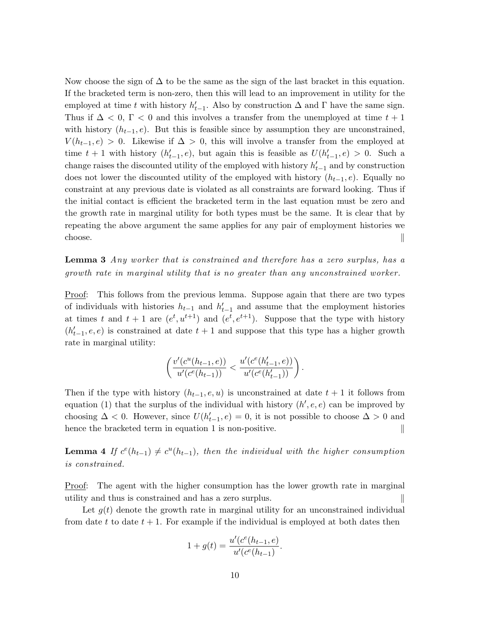Now choose the sign of  $\Delta$  to be the same as the sign of the last bracket in this equation. If the bracketed term is non-zero, then this will lead to an improvement in utility for the employed at time t with history  $h'_{t-1}$ . Also by construction  $\Delta$  and  $\Gamma$  have the same sign. Thus if  $\Delta < 0$ ,  $\Gamma < 0$  and this involves a transfer from the unemployed at time  $t + 1$ with history  $(h_{t-1}, e)$ . But this is feasible since by assumption they are unconstrained,  $V(h_{t-1}, e) > 0$ . Likewise if  $\Delta > 0$ , this will involve a transfer from the employed at time  $t + 1$  with history  $(h'_{t-1}, e)$ , but again this is feasible as  $U(h'_{t-1}, e) > 0$ . Such a change raises the discounted utility of the employed with history  $h'_{t-1}$  and by construction does not lower the discounted utility of the employed with history  $(h_{t-1}, e)$ . Equally no constraint at any previous date is violated as all constraints are forward looking. Thus if the initial contact is efficient the bracketed term in the last equation must be zero and the growth rate in marginal utility for both types must be the same. It is clear that by repeating the above argument the same applies for any pair of employment histories we  $\Box$  choose.

**Lemma 3** Any worker that is constrained and therefore has a zero surplus, has a growth rate in marginal utility that is no greater than any unconstrained worker.

Proof: This follows from the previous lemma. Suppose again that there are two types of individuals with histories  $h_{t-1}$  and  $h'_{t-1}$  and assume that the employment histories at times t and  $t+1$  are  $(e^t, u^{t+1})$  and  $(e^t, e^{t+1})$ . Suppose that the type with history  $(h'_{t-1}, e, e)$  is constrained at date  $t + 1$  and suppose that this type has a higher growth rate in marginal utility:

$$
\left(\frac{v'(c^u(h_{t-1},e))}{u'(c^e(h_{t-1}))} < \frac{u'(c^e(h'_{t-1},e))}{u'(c^e(h'_{t-1}))}\right).
$$

Then if the type with history  $(h_{t-1}, e, u)$  is unconstrained at date  $t + 1$  it follows from equation (1) that the surplus of the individual with history  $(h', e, e)$  can be improved by choosing  $\Delta < 0$ . However, since  $U(h'_{t-1}, e) = 0$ , it is not possible to choose  $\Delta > 0$  and hence the bracketed term in equation 1 is non-positive.

**Lemma 4** If  $c^e(h_{t-1}) \neq c^u(h_{t-1})$ , then the individual with the higher consumption is constrained.

Proof: The agent with the higher consumption has the lower growth rate in marginal utility and thus is constrained and has a zero surplus. k

Let  $g(t)$  denote the growth rate in marginal utility for an unconstrained individual from date t to date  $t + 1$ . For example if the individual is employed at both dates then

$$
1 + g(t) = \frac{u'(c^e(h_{t-1}, e)}{u'(c^e(h_{t-1})}.
$$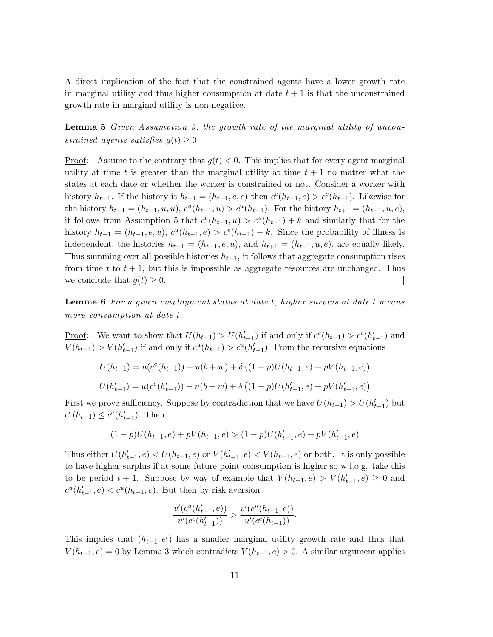A direct implication of the fact that the constrained agents have a lower growth rate in marginal utility and thus higher consumption at date  $t + 1$  is that the unconstrained growth rate in marginal utility is non-negative.

Lemma 5 Given Assumption 5, the growth rate of the marginal utility of unconstrained agents satisfies  $g(t) \geq 0$ .

Proof: Assume to the contrary that  $g(t) < 0$ . This implies that for every agent marginal utility at time t is greater than the marginal utility at time  $t + 1$  no matter what the states at each date or whether the worker is constrained or not. Consider a worker with history  $h_{t-1}$ . If the history is  $h_{t+1} = (h_{t-1}, e, e)$  then  $c^{e}(h_{t-1}, e) > c^{e}(h_{t-1})$ . Likewise for the history  $h_{t+1} = (h_{t-1}, u, u), c^{u}(h_{t-1}, u) > c^{u}(h_{t-1}).$  For the history  $h_{t+1} = (h_{t-1}, u, e),$ it follows from Assumption 5 that  $c^{e}(h_{t-1}, u) > c^{u}(h_{t-1}) + k$  and similarly that for the history  $h_{t+1} = (h_{t-1}, e, u), c^{u}(h_{t-1}, e) > c^{e}(h_{t-1}) - k$ . Since the probability of illness is independent, the histories  $h_{t+1} = (h_{t-1}, e, u)$ , and  $h_{t+1} = (h_{t-1}, u, e)$ , are equally likely. Thus summing over all possible histories  $h_{t-1}$ , it follows that aggregate consumption rises from time t to  $t + 1$ , but this is impossible as aggregate resources are unchanged. Thus we conclude that  $q(t) \geq 0$ .

Lemma 6 For a given employment status at date t, higher surplus at date t means more consumption at date t.

Proof: We want to show that  $U(h_{t-1}) > U(h'_{t-1})$  if and only if  $c^{e}(h_{t-1}) > c^{e}(h'_{t-1})$  and  $V(h_{t-1}) > V(h'_{t-1})$  if and only if  $c^u(h_{t-1}) > c^u(h'_{t-1})$ . From the recursive equations

$$
U(h_{t-1}) = u(c^{e}(h_{t-1})) - u(b+w) + \delta ((1-p)U(h_{t-1}, e) + pV(h_{t-1}, e))
$$
  

$$
U(h'_{t-1}) = u(c^{e}(h'_{t-1})) - u(b+w) + \delta ((1-p)U(h'_{t-1}, e) + pV(h'_{t-1}, e))
$$

First we prove sufficiency. Suppose by contradiction that we have  $U(h_{t-1}) > U(h'_{t-1})$  but  $c^{e}(h_{t-1}) \leq c^{e}(h'_{t-1})$ . Then

$$
(1-p)U(h_{t-1},e) + pV(h_{t-1},e) > (1-p)U(h'_{t-1},e) + pV(h'_{t-1},e)
$$

Thus either  $U(h'_{t-1}, e) < U(h_{t-1}, e)$  or  $V(h'_{t-1}, e) < V(h_{t-1}, e)$  or both. It is only possible to have higher surplus if at some future point consumption is higher so w.l.o.g. take this to be period  $t + 1$ . Suppose by way of example that  $V(h_{t-1}, e) > V(h'_{t-1}, e) \geq 0$  and  $c^u(h'_{t-1}, e) < c^u(h_{t-1}, e)$ . But then by risk aversion

$$
\frac{v'(c^u(h'_{t-1},e))}{u'(c^e(h'_{t-1}))} > \frac{v'(c^u(h_{t-1},e))}{u'(c^e(h_{t-1}))}.
$$

This implies that  $(h_{t-1}, e^t)$  has a smaller marginal utility growth rate and thus that  $V(h_{t-1}, e) = 0$  by Lemma 3 which contradicts  $V(h_{t-1}, e) > 0$ . A similar argument applies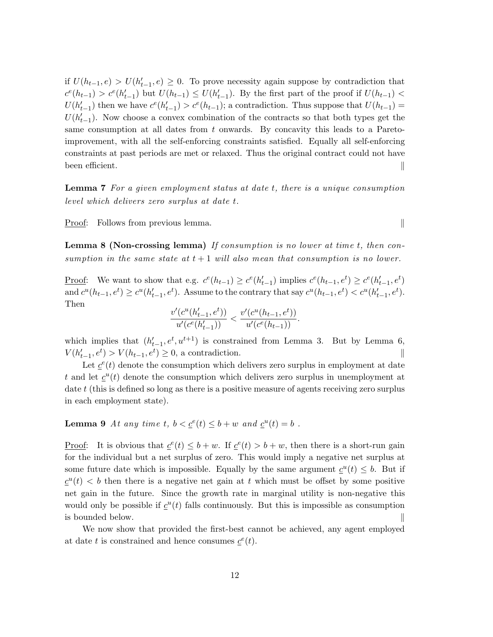if  $U(h_{t-1}, e) > U(h'_{t-1}, e) \geq 0$ . To prove necessity again suppose by contradiction that  $c^{e}(h_{t-1}) > c^{e}(h'_{t-1})$  but  $U(h_{t-1}) \leq U(h'_{t-1})$ . By the first part of the proof if  $U(h_{t-1})$  $U(h'_{t-1})$  then we have  $c^{e}(h'_{t-1}) > c^{e}(h_{t-1})$ ; a contradiction. Thus suppose that  $U(h_{t-1}) =$  $U(h'_{t-1})$ . Now choose a convex combination of the contracts so that both types get the same consumption at all dates from t onwards. By concavity this leads to a Paretoimprovement, with all the self-enforcing constraints satisfied. Equally all self-enforcing constraints at past periods are met or relaxed. Thus the original contract could not have been efficient.

Lemma 7 For a given employment status at date t, there is a unique consumption level which delivers zero surplus at date t.

Proof: Follows from previous lemma.

Lemma 8 (Non-crossing lemma) If consumption is no lower at time t, then consumption in the same state at  $t+1$  will also mean that consumption is no lower.

Proof: We want to show that e.g.  $c^{e}(h_{t-1}) \geq c^{e}(h'_{t-1})$  implies  $c^{e}(h_{t-1}, e^{t}) \geq c^{e}(h'_{t-1}, e^{t})$ and  $c^u(h_{t-1}, e^t) \ge c^u(h'_{t-1}, e^t)$ . Assume to the contrary that say  $c^u(h_{t-1}, e^t) < c^u(h'_{t-1}, e^t)$ . Then

$$
\frac{v'(c^u(h'_{t-1},e^t))}{u'(c^e(h'_{t-1}))}<\frac{v'(c^u(h_{t-1},e^t))}{u'(c^e(h_{t-1}))}.
$$

which implies that  $(h'_{t-1}, e^t, u^{t+1})$  is constrained from Lemma 3. But by Lemma 6,  $V(h'_{t-1}, e^t) > V(h_{t-1}, e^t) \ge 0$ , a contradiction.

Let  $\underline{c}^e(t)$  denote the consumption which delivers zero surplus in employment at date t and let  $\underline{c}^u(t)$  denote the consumption which delivers zero surplus in unemployment at date t (this is defined so long as there is a positive measure of agents receiving zero surplus in each employment state).

**Lemma 9** At any time t,  $b < \underline{c}^e(t) \leq b + w$  and  $\underline{c}^u(t) = b$ .

Proof: It is obvious that  $\underline{c}^e(t) \leq b + w$ . If  $\underline{c}^e(t) > b + w$ , then there is a short-run gain for the individual but a net surplus of zero. This would imply a negative net surplus at some future date which is impossible. Equally by the same argument  $c^u(t) \leq b$ . But if  $\underline{c}^u(t) < b$  then there is a negative net gain at t which must be offset by some positive net gain in the future. Since the growth rate in marginal utility is non-negative this would only be possible if  $\underline{c}^u(t)$  falls continuously. But this is impossible as consumption is bounded below.

We now show that provided the first-best cannot be achieved, any agent employed at date t is constrained and hence consumes  $\underline{c}^e(t)$ .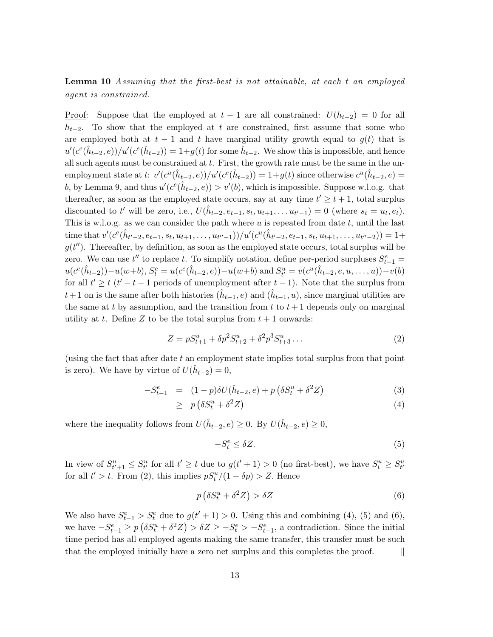Lemma 10 Assuming that the first-best is not attainable, at each t an employed agent is constrained.

<u>Proof</u>: Suppose that the employed at  $t-1$  are all constrained:  $U(h_{t-2}) = 0$  for all  $h_{t-2}$ . To show that the employed at t are constrained, first assume that some who are employed both at  $t - 1$  and t have marginal utility growth equal to  $g(t)$  that is  $u'(c^e(\hat{h}_{t-2}, e))/u'(c^e(\hat{h}_{t-2})) = 1+g(t)$  for some  $\hat{h}_{t-2}$ . We show this is impossible, and hence all such agents must be constrained at  $t$ . First, the growth rate must be the same in the unemployment state at t:  $v'(c^u(\hat{h}_{t-2}, e))/u'(c^e(\hat{h}_{t-2})) = 1+g(t)$  since otherwise  $c^u(\hat{h}_{t-2}, e) =$ b, by Lemma 9, and thus  $u'(c^e(\hat{h}_{t-2}, e)) > v'(b)$ , which is impossible. Suppose w.l.o.g. that thereafter, as soon as the employed state occurs, say at any time  $t' \geq t + 1$ , total surplus discounted to t' will be zero, i.e.,  $U(\hat{h}_{t-2}, e_{t-1}, s_t, u_{t+1}, \dots u_{t'-1}) = 0$  (where  $s_t = u_t, e_t$ ). This is w.l.o.g. as we can consider the path where  $u$  is repeated from date  $t$ , until the last time that  $v'(c^{e}(\hat{h}_{t'-2}, e_{t-1}, s_t, u_{t+1}, \ldots, u_{t''-1}))/u'(c^{u}(\hat{h}_{t'-2}, e_{t-1}, s_t, u_{t+1}, \ldots, u_{t''-2})) = 1 +$  $g(t'')$ . Thereafter, by definition, as soon as the employed state occurs, total surplus will be zero. We can use  $t''$  to replace t. To simplify notation, define per-period surpluses  $S_{t-1}^e$  =  $u(c^e(\hat{h}_{t-2})) - u(w+b), S_t^e = u(c^e(\hat{h}_{t-2}, e)) - u(w+b)$  and  $S_{t'}^u = v(c^u(\hat{h}_{t-2}, e, u, ..., u)) - v(b)$ for all  $t' \geq t$  ( $t' - t - 1$  periods of unemployment after  $t - 1$ ). Note that the surplus from  $t+1$  on is the same after both histories  $(\hat{h}_{t-1}, e)$  and  $(\hat{h}_{t-1}, u)$ , since marginal utilities are the same at t by assumption, and the transition from t to  $t + 1$  depends only on marginal utility at t. Define Z to be the total surplus from  $t + 1$  onwards:

$$
Z = pS_{t+1}^u + \delta p^2 S_{t+2}^u + \delta^2 p^3 S_{t+3}^u \dots \tag{2}
$$

(using the fact that after date  $t$  an employment state implies total surplus from that point is zero). We have by virtue of  $U(\hat{h}_{t-2}) = 0$ ,

$$
-S_{t-1}^{e} = (1-p)\delta U(\hat{h}_{t-2}, e) + p(\delta S_{t}^{u} + \delta^{2} Z)
$$
\n(3)

$$
\geq p\left(\delta S_t^u + \delta^2 Z\right) \tag{4}
$$

where the inequality follows from  $U(\hat{h}_{t-2}, e) \geq 0$ . By  $U(\hat{h}_{t-2}, e) \geq 0$ ,

$$
-S_t^e \le \delta Z. \tag{5}
$$

In view of  $S_{t'+1}^u \leq S_{t'}^u$  for all  $t' \geq t$  due to  $g(t'+1) > 0$  (no first-best), we have  $S_t^u \geq S_{t'}^u$ for all  $t' > t$ . From (2), this implies  $pS_t^u/(1 - \delta p) > Z$ . Hence

$$
p\left(\delta S_t^u + \delta^2 Z\right) > \delta Z\tag{6}
$$

We also have  $S_{t-1}^e > S_t^e$  due to  $g(t'+1) > 0$ . Using this and combining (4), (5) and (6), we have  $-S_{t-1}^e \ge p \left( \delta S_t^u + \delta^2 Z \right) > \delta Z \ge -S_t^e > -S_{t-1}^e$ , a contradiction. Since the initial time period has all employed agents making the same transfer, this transfer must be such that the employed initially have a zero net surplus and this completes the proof.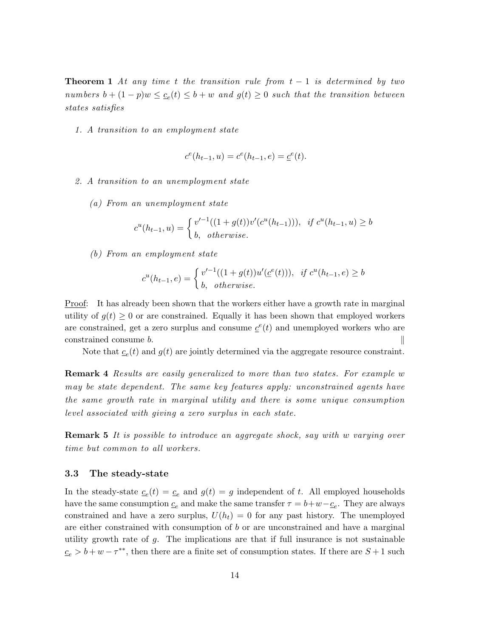**Theorem 1** At any time t the transition rule from  $t - 1$  is determined by two numbers  $b + (1 - p)w \leq c_e(t) \leq b + w$  and  $g(t) \geq 0$  such that the transition between states satisfies

1. A transition to an employment state

$$
c^{e}(h_{t-1}, u) = c^{e}(h_{t-1}, e) = \underline{c}^{e}(t).
$$

- 2. A transition to an unemployment state
	- (a) From an unemployment state

$$
c^{u}(h_{t-1}, u) = \begin{cases} v'^{-1}((1+g(t))v'(c^{u}(h_{t-1}))), & \text{if } c^{u}(h_{t-1}, u) \ge b \\ b, & \text{otherwise.} \end{cases}
$$

(b) From an employment state

$$
c^{u}(h_{t-1},e) = \begin{cases} v'^{-1}((1+g(t))u'(\underline{c}^{e}(t))), & \text{if } c^{u}(h_{t-1},e) \ge b \\ b, & \text{otherwise.} \end{cases}
$$

Proof: It has already been shown that the workers either have a growth rate in marginal utility of  $g(t) \geq 0$  or are constrained. Equally it has been shown that employed workers are constrained, get a zero surplus and consume  $\underline{c}^e(t)$  and unemployed workers who are  $\Box$  constrained consume b.  $\Box$ 

Note that  $c_e(t)$  and  $g(t)$  are jointly determined via the aggregate resource constraint.

Remark 4 Results are easily generalized to more than two states. For example w may be state dependent. The same key features apply: unconstrained agents have the same growth rate in marginal utility and there is some unique consumption level associated with giving a zero surplus in each state.

**Remark 5** It is possible to introduce an aggregate shock, say with w varying over time but common to all workers.

#### 3.3 The steady-state

In the steady-state  $c_e(t) = c_e$  and  $g(t) = g$  independent of t. All employed households have the same consumption  $c_e$  and make the same transfer  $\tau = b + w - c_e$ . They are always constrained and have a zero surplus,  $U(h_t) = 0$  for any past history. The unemployed are either constrained with consumption of b or are unconstrained and have a marginal utility growth rate of  $g$ . The implications are that if full insurance is not sustainable  $c_e > b + w - \tau^{**}$ , then there are a finite set of consumption states. If there are  $S + 1$  such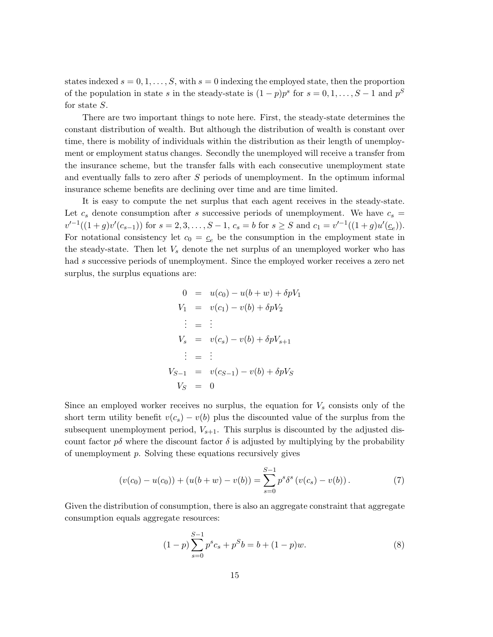states indexed  $s = 0, 1, \ldots, S$ , with  $s = 0$  indexing the employed state, then the proportion of the population in state s in the steady-state is  $(1-p)p^s$  for  $s=0,1,\ldots,S-1$  and  $p^S$ for state S.

There are two important things to note here. First, the steady-state determines the constant distribution of wealth. But although the distribution of wealth is constant over time, there is mobility of individuals within the distribution as their length of unemployment or employment status changes. Secondly the unemployed will receive a transfer from the insurance scheme, but the transfer falls with each consecutive unemployment state and eventually falls to zero after S periods of unemployment. In the optimum informal insurance scheme benefits are declining over time and are time limited.

It is easy to compute the net surplus that each agent receives in the steady-state. Let  $c_s$  denote consumption after s successive periods of unemployment. We have  $c_s =$  $v'^{-1}((1+g)v'(c_{s-1}))$  for  $s = 2, 3, ..., S-1$ ,  $c_s = b$  for  $s \geq S$  and  $c_1 = v'^{-1}((1+g)u'(c_e)).$ For notational consistency let  $c_0 = c_e$  be the consumption in the employment state in the steady-state. Then let  $V_s$  denote the net surplus of an unemployed worker who has had s successive periods of unemployment. Since the employed worker receives a zero net surplus, the surplus equations are:

$$
0 = u(c_0) - u(b+w) + \delta pV_1
$$
  
\n
$$
V_1 = v(c_1) - v(b) + \delta pV_2
$$
  
\n
$$
\vdots = \vdots
$$
  
\n
$$
V_s = v(c_s) - v(b) + \delta pV_{s+1}
$$
  
\n
$$
\vdots = \vdots
$$
  
\n
$$
V_{S-1} = v(c_{S-1}) - v(b) + \delta pV_S
$$
  
\n
$$
V_S = 0
$$

Since an employed worker receives no surplus, the equation for  $V_s$  consists only of the short term utility benefit  $v(c_s) - v(b)$  plus the discounted value of the surplus from the subsequent unemployment period,  $V_{s+1}$ . This surplus is discounted by the adjusted discount factor  $p\delta$  where the discount factor  $\delta$  is adjusted by multiplying by the probability of unemployment p. Solving these equations recursively gives

$$
(v(c_0) - u(c_0)) + (u(b+w) - v(b)) = \sum_{s=0}^{S-1} p^s \delta^s (v(c_s) - v(b)).
$$
\n(7)

Given the distribution of consumption, there is also an aggregate constraint that aggregate consumption equals aggregate resources:

$$
(1-p)\sum_{s=0}^{S-1} p^s c_s + p^S b = b + (1-p)w.
$$
 (8)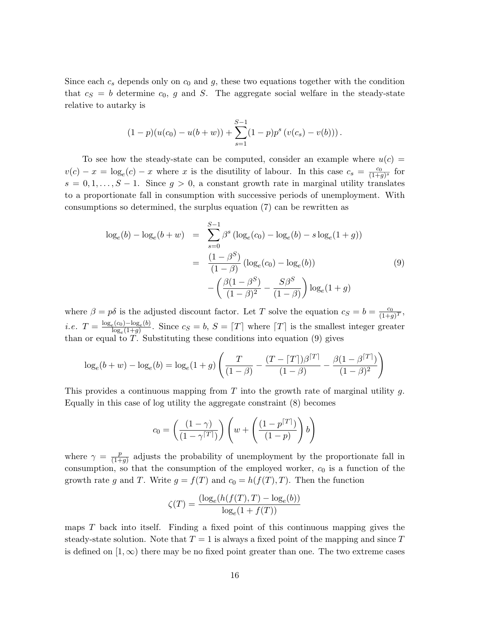Since each  $c_s$  depends only on  $c_0$  and g, these two equations together with the condition that  $c_S = b$  determine  $c_0$ , g and S. The aggregate social welfare in the steady-state relative to autarky is

$$
(1-p)(u(c_0) - u(b+w)) + \sum_{s=1}^{S-1} (1-p)p^s (v(c_s) - v(b))).
$$

To see how the steady-state can be computed, consider an example where  $u(c)$  $v(c) - x = \log_e(c) - x$  where x is the disutility of labour. In this case  $c_s = \frac{c_0}{(1+g)^s}$  for  $s = 0, 1, \ldots, S - 1$ . Since  $g > 0$ , a constant growth rate in marginal utility translates to a proportionate fall in consumption with successive periods of unemployment. With consumptions so determined, the surplus equation (7) can be rewritten as

$$
\log_e(b) - \log_e(b+w) = \sum_{s=0}^{S-1} \beta^s (\log_e(c_0) - \log_e(b) - s \log_e(1+g))
$$
  
= 
$$
\frac{(1-\beta^S)}{(1-\beta)} (\log_e(c_0) - \log_e(b))
$$
(9)  

$$
-\left(\frac{\beta(1-\beta^S)}{(1-\beta)^2} - \frac{S\beta^S}{(1-\beta)}\right) \log_e(1+g)
$$

where  $\beta = p\delta$  is the adjusted discount factor. Let T solve the equation  $c_S = b = \frac{c_0}{(1+c_0)^2}$  $\frac{c_0}{(1+g)^T}$ i.e.  $T = \frac{\log_e(c_0) - \log_e(b)}{\log(1+a)}$  $\frac{\log_e(0) - \log_e(0)}{\log_e(1+g)}$ . Since  $c_S = b, S = [T]$  where  $[T]$  is the smallest integer greater than or equal to  $T$ . Substituting these conditions into equation (9) gives

$$
\log_e(b+w) - \log_e(b) = \log_e(1+g) \left( \frac{T}{(1-\beta)} - \frac{(T - [T])\beta^{[T]}}{(1-\beta)} - \frac{\beta(1-\beta^{[T]})}{(1-\beta)^2} \right)
$$

This provides a continuous mapping from  $T$  into the growth rate of marginal utility  $g$ . Equally in this case of log utility the aggregate constraint (8) becomes

$$
c_0 = \left(\frac{(1-\gamma)}{(1-\gamma\sqrt{|\mathcal{F}|})}\right)\left(w + \left(\frac{(1-p\sqrt{|\mathcal{F}|})}{(1-p)}\right)b\right)
$$

where  $\gamma = \frac{p}{(1+p)^2}$  $\frac{p}{(1+g)}$  adjusts the probability of unemployment by the proportionate fall in consumption, so that the consumption of the employed worker,  $c_0$  is a function of the growth rate g and T. Write  $g = f(T)$  and  $c_0 = h(f(T), T)$ . Then the function

$$
\zeta(T) = \frac{(\log_e(h(f(T), T) - \log_e(b)))}{\log_e(1 + f(T))}
$$

maps  $T$  back into itself. Finding a fixed point of this continuous mapping gives the steady-state solution. Note that  $T = 1$  is always a fixed point of the mapping and since T is defined on  $[1,\infty)$  there may be no fixed point greater than one. The two extreme cases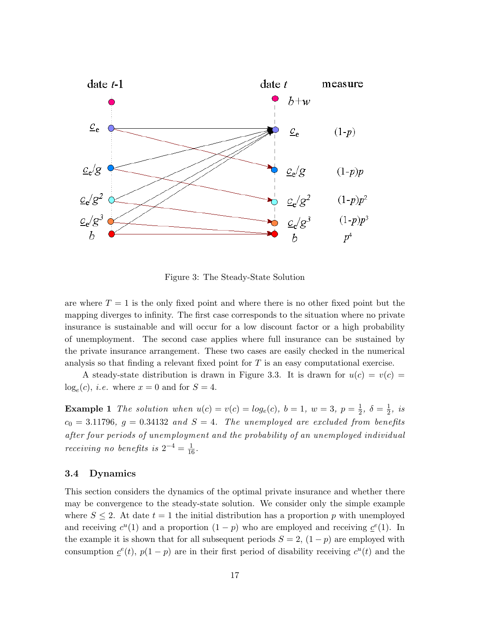

Figure 3: The Steady-State Solution

are where  $T = 1$  is the only fixed point and where there is no other fixed point but the mapping diverges to infinity. The first case corresponds to the situation where no private insurance is sustainable and will occur for a low discount factor or a high probability of unemployment. The second case applies where full insurance can be sustained by the private insurance arrangement. These two cases are easily checked in the numerical analysis so that finding a relevant fixed point for  $T$  is an easy computational exercise.

A steady-state distribution is drawn in Figure 3.3. It is drawn for  $u(c) = v(c)$  $log_e(c)$ , *i.e.* where  $x = 0$  and for  $S = 4$ .

**Example 1** The solution when  $u(c) = v(c) = log_e(c)$ ,  $b = 1$ ,  $w = 3$ ,  $p = \frac{1}{2}$  $\frac{1}{2}, \delta = \frac{1}{2}$  $\frac{1}{2}$ , is  $c_0 = 3.11796$ ,  $g = 0.34132$  and  $S = 4$ . The unemployed are excluded from benefits after four periods of unemployment and the probability of an unemployed individual *receiving no benefits is*  $2^{-4} = \frac{1}{16}$ .

#### 3.4 Dynamics

This section considers the dynamics of the optimal private insurance and whether there may be convergence to the steady-state solution. We consider only the simple example where  $S \leq 2$ . At date  $t = 1$  the initial distribution has a proportion p with unemployed and receiving  $c^u(1)$  and a proportion  $(1-p)$  who are employed and receiving  $c^e(1)$ . In the example it is shown that for all subsequent periods  $S = 2$ ,  $(1 - p)$  are employed with consumption  $\underline{c}^e(t)$ ,  $p(1-p)$  are in their first period of disability receiving  $c^u(t)$  and the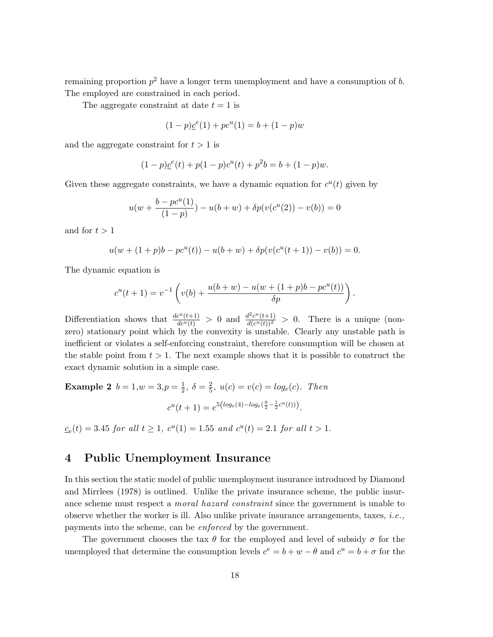remaining proportion  $p^2$  have a longer term unemployment and have a consumption of b. The employed are constrained in each period.

The aggregate constraint at date  $t = 1$  is

$$
(1 - p)\underline{c}^{e}(1) + pc^{u}(1) = b + (1 - p)w
$$

and the aggregate constraint for  $t > 1$  is

$$
(1-p)\underline{c}^{e}(t) + p(1-p)c^{u}(t) + p^{2}b = b + (1-p)w.
$$

Given these aggregate constraints, we have a dynamic equation for  $c<sup>u</sup>(t)$  given by

$$
u(w + \frac{b - pc^u(1)}{(1 - p)}) - u(b + w) + \delta p(v(c^u(2)) - v(b)) = 0
$$

and for  $t > 1$ 

$$
u(w + (1 + p)b - pcu(t)) - u(b + w) + \delta p(v(cu(t + 1)) - v(b)) = 0.
$$

The dynamic equation is

$$
c^{u}(t+1) = v^{-1}\left(v(b) + \frac{u(b+w) - u(w + (1+p)b - pc^{u}(t))}{\delta p}\right).
$$

Differentiation shows that  $\frac{dc^u(t+1)}{dc^u(t)} > 0$  and  $\frac{d^2c^u(t+1)}{d(c^u(t))^2}$  $\frac{d^2c^{\alpha}(t+1)}{d(c^{\alpha}(t))^2} > 0$ . There is a unique (nonzero) stationary point which by the convexity is unstable. Clearly any unstable path is inefficient or violates a self-enforcing constraint, therefore consumption will be chosen at the stable point from  $t > 1$ . The next example shows that it is possible to construct the exact dynamic solution in a simple case.

**Example 2**  $b = 1, w = 3, p = \frac{1}{2}$  $\frac{1}{2}, \delta = \frac{2}{5}$  $\frac{2}{5}$ ,  $u(c) = v(c) = log_e(c)$ . Then  $c^{u}(t+1) = e^{5\left(log_e(4) - log_e(\frac{9}{2} - \frac{1}{2}c^{u}(t))\right)}$ .

 $c_e(t) = 3.45$  for all  $t \ge 1$ ,  $c^u(1) = 1.55$  and  $c^u(t) = 2.1$  for all  $t > 1$ .

### 4 Public Unemployment Insurance

In this section the static model of public unemployment insurance introduced by Diamond and Mirrlees (1978) is outlined. Unlike the private insurance scheme, the public insurance scheme must respect a *moral hazard constraint* since the government is unable to observe whether the worker is ill. Also unlike private insurance arrangements, taxes, *i.e.*, payments into the scheme, can be enforced by the government.

The government chooses the tax  $\theta$  for the employed and level of subsidy  $\sigma$  for the unemployed that determine the consumption levels  $c^e = b + w - \theta$  and  $c^u = b + \sigma$  for the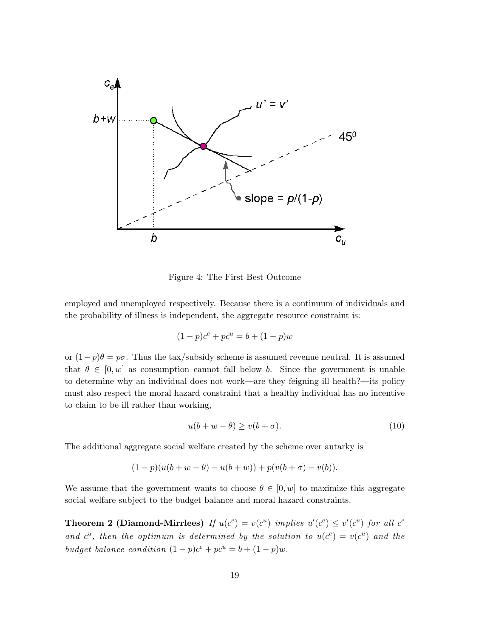

Figure 4: The First-Best Outcome

employed and unemployed respectively. Because there is a continuum of individuals and the probability of illness is independent, the aggregate resource constraint is:

$$
(1 - p)c^{e} + pc^{u} = b + (1 - p)w
$$

or  $(1-p)\theta = p\sigma$ . Thus the tax/subsidy scheme is assumed revenue neutral. It is assumed that  $\theta \in [0, w]$  as consumption cannot fall below b. Since the government is unable to determine why an individual does not work—are they feigning ill health?—its policy must also respect the moral hazard constraint that a healthy individual has no incentive to claim to be ill rather than working,

$$
u(b + w - \theta) \ge v(b + \sigma). \tag{10}
$$

The additional aggregate social welfare created by the scheme over autarky is

$$
(1-p)(u(b+w-\theta) - u(b+w)) + p(v(b+\sigma) - v(b)).
$$

We assume that the government wants to choose  $\theta \in [0, w]$  to maximize this aggregate social welfare subject to the budget balance and moral hazard constraints.

**Theorem 2 (Diamond-Mirrlees)** If  $u(c^e) = v(c^u)$  implies  $u'(c^e) \le v'(c^u)$  for all  $c^e$ and  $c^u$ , then the optimum is determined by the solution to  $u(c^e) = v(c^u)$  and the budget balance condition  $(1-p)c^e + pc^u = b + (1-p)w$ .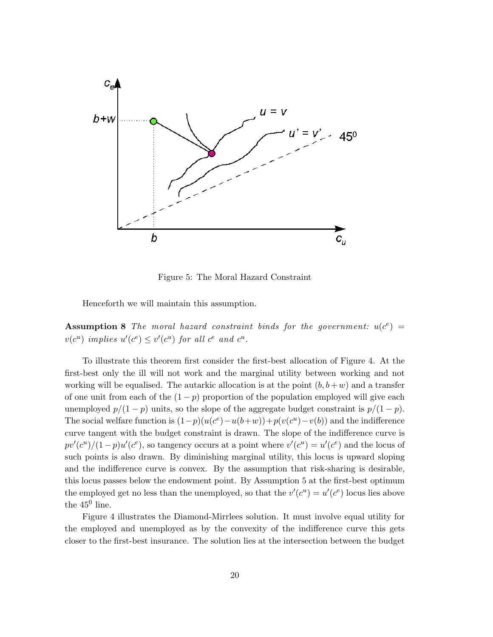

Figure 5: The Moral Hazard Constraint

Henceforth we will maintain this assumption.

**Assumption 8** The moral hazard constraint binds for the government:  $u(c^e)$  =  $v(c^u)$  implies  $u'(c^e) \le v'(c^u)$  for all  $c^e$  and  $c^u$ .

To illustrate this theorem first consider the first-best allocation of Figure 4. At the first-best only the ill will not work and the marginal utility between working and not working will be equalised. The autarkic allocation is at the point  $(b, b+w)$  and a transfer of one unit from each of the  $(1 - p)$  proportion of the population employed will give each unemployed  $p/(1-p)$  units, so the slope of the aggregate budget constraint is  $p/(1-p)$ . The social welfare function is  $(1-p)(u(c^e) - u(b+w)) + p(v(c^u) - v(b))$  and the indifference curve tangent with the budget constraint is drawn. The slope of the indifference curve is  $pv'(c^u)/(1-p)u'(c^e)$ , so tangency occurs at a point where  $v'(c^u) = u'(c^e)$  and the locus of such points is also drawn. By diminishing marginal utility, this locus is upward sloping and the indifference curve is convex. By the assumption that risk-sharing is desirable, this locus passes below the endowment point. By Assumption 5 at the first-best optimum the employed get no less than the unemployed, so that the  $v'(c^u) = u'(c^e)$  locus lies above the  $45^0$  line.

Figure 4 illustrates the Diamond-Mirrlees solution. It must involve equal utility for the employed and unemployed as by the convexity of the indifference curve this gets closer to the first-best insurance. The solution lies at the intersection between the budget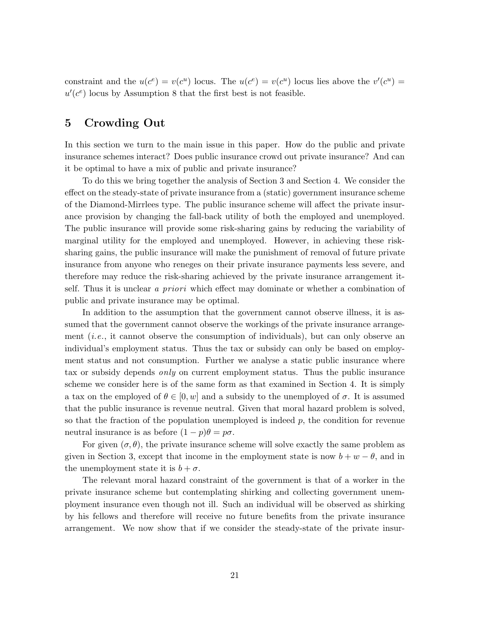constraint and the  $u(c^e) = v(c^u)$  locus. The  $u(c^e) = v(c^u)$  locus lies above the  $v'(c^u) =$  $u'(c^e)$  locus by Assumption 8 that the first best is not feasible.

# 5 Crowding Out

In this section we turn to the main issue in this paper. How do the public and private insurance schemes interact? Does public insurance crowd out private insurance? And can it be optimal to have a mix of public and private insurance?

To do this we bring together the analysis of Section 3 and Section 4. We consider the effect on the steady-state of private insurance from a (static) government insurance scheme of the Diamond-Mirrlees type. The public insurance scheme will affect the private insurance provision by changing the fall-back utility of both the employed and unemployed. The public insurance will provide some risk-sharing gains by reducing the variability of marginal utility for the employed and unemployed. However, in achieving these risksharing gains, the public insurance will make the punishment of removal of future private insurance from anyone who reneges on their private insurance payments less severe, and therefore may reduce the risk-sharing achieved by the private insurance arrangement itself. Thus it is unclear a priori which effect may dominate or whether a combination of public and private insurance may be optimal.

In addition to the assumption that the government cannot observe illness, it is assumed that the government cannot observe the workings of the private insurance arrangement  $(i.e.,$  it cannot observe the consumption of individuals), but can only observe an individual's employment status. Thus the tax or subsidy can only be based on employment status and not consumption. Further we analyse a static public insurance where tax or subsidy depends only on current employment status. Thus the public insurance scheme we consider here is of the same form as that examined in Section 4. It is simply a tax on the employed of  $\theta \in [0, w]$  and a subsidy to the unemployed of  $\sigma$ . It is assumed that the public insurance is revenue neutral. Given that moral hazard problem is solved, so that the fraction of the population unemployed is indeed  $p$ , the condition for revenue neutral insurance is as before  $(1 - p)\theta = p\sigma$ .

For given  $(\sigma, \theta)$ , the private insurance scheme will solve exactly the same problem as given in Section 3, except that income in the employment state is now  $b + w - \theta$ , and in the unemployment state it is  $b + \sigma$ .

The relevant moral hazard constraint of the government is that of a worker in the private insurance scheme but contemplating shirking and collecting government unemployment insurance even though not ill. Such an individual will be observed as shirking by his fellows and therefore will receive no future benefits from the private insurance arrangement. We now show that if we consider the steady-state of the private insur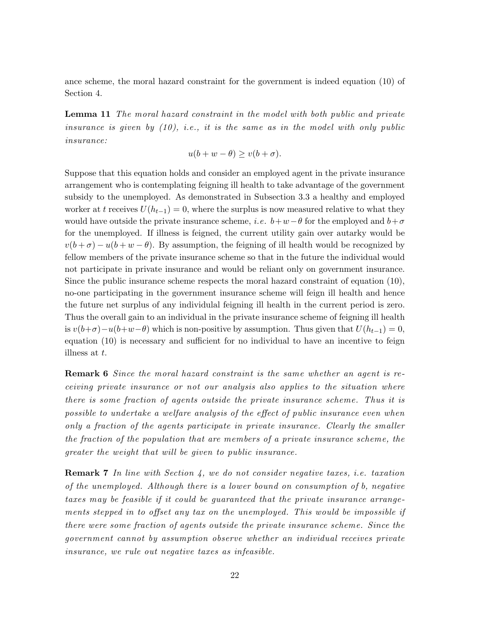ance scheme, the moral hazard constraint for the government is indeed equation (10) of Section 4.

Lemma 11 The moral hazard constraint in the model with both public and private insurance is given by  $(10)$ , i.e., it is the same as in the model with only public insurance:

$$
u(b + w - \theta) \ge v(b + \sigma).
$$

Suppose that this equation holds and consider an employed agent in the private insurance arrangement who is contemplating feigning ill health to take advantage of the government subsidy to the unemployed. As demonstrated in Subsection 3.3 a healthy and employed worker at t receives  $U(h_{t-1}) = 0$ , where the surplus is now measured relative to what they would have outside the private insurance scheme, *i.e.*  $b+w-\theta$  for the employed and  $b+\sigma$ for the unemployed. If illness is feigned, the current utility gain over autarky would be  $v(b+\sigma) - u(b+w-\theta)$ . By assumption, the feigning of ill health would be recognized by fellow members of the private insurance scheme so that in the future the individual would not participate in private insurance and would be reliant only on government insurance. Since the public insurance scheme respects the moral hazard constraint of equation (10), no-one participating in the government insurance scheme will feign ill health and hence the future net surplus of any individulal feigning ill health in the current period is zero. Thus the overall gain to an individual in the private insurance scheme of feigning ill health is  $v(b+\sigma)-u(b+w-\theta)$  which is non-positive by assumption. Thus given that  $U(h_{t-1})=0$ , equation (10) is necessary and sufficient for no individual to have an incentive to feign illness at t.

Remark 6 Since the moral hazard constraint is the same whether an agent is receiving private insurance or not our analysis also applies to the situation where there is some fraction of agents outside the private insurance scheme. Thus it is possible to undertake a welfare analysis of the effect of public insurance even when only a fraction of the agents participate in private insurance. Clearly the smaller the fraction of the population that are members of a private insurance scheme, the greater the weight that will be given to public insurance.

**Remark 7** In line with Section 4, we do not consider negative taxes, i.e. taxation of the unemployed. Although there is a lower bound on consumption of b, negative taxes may be feasible if it could be guaranteed that the private insurance arrangements stepped in to offset any tax on the unemployed. This would be impossible if there were some fraction of agents outside the private insurance scheme. Since the government cannot by assumption observe whether an individual receives private insurance, we rule out negative taxes as infeasible.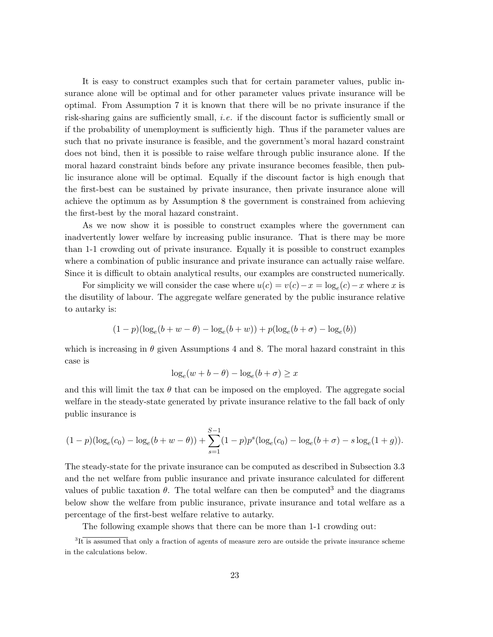It is easy to construct examples such that for certain parameter values, public insurance alone will be optimal and for other parameter values private insurance will be optimal. From Assumption 7 it is known that there will be no private insurance if the risk-sharing gains are sufficiently small, i.e. if the discount factor is sufficiently small or if the probability of unemployment is sufficiently high. Thus if the parameter values are such that no private insurance is feasible, and the government's moral hazard constraint does not bind, then it is possible to raise welfare through public insurance alone. If the moral hazard constraint binds before any private insurance becomes feasible, then public insurance alone will be optimal. Equally if the discount factor is high enough that the first-best can be sustained by private insurance, then private insurance alone will achieve the optimum as by Assumption 8 the government is constrained from achieving the first-best by the moral hazard constraint.

As we now show it is possible to construct examples where the government can inadvertently lower welfare by increasing public insurance. That is there may be more than 1-1 crowding out of private insurance. Equally it is possible to construct examples where a combination of public insurance and private insurance can actually raise welfare. Since it is difficult to obtain analytical results, our examples are constructed numerically.

For simplicity we will consider the case where  $u(c) = v(c) - x = \log_e(c) - x$  where x is the disutility of labour. The aggregate welfare generated by the public insurance relative to autarky is:

$$
(1-p)(\log_e(b+w-\theta)-\log_e(b+w))+p(\log_e(b+\sigma)-\log_e(b))
$$

which is increasing in  $\theta$  given Assumptions 4 and 8. The moral hazard constraint in this case is

$$
\log_e(w + b - \theta) - \log_e(b + \sigma) \ge x
$$

and this will limit the tax  $\theta$  that can be imposed on the employed. The aggregate social welfare in the steady-state generated by private insurance relative to the fall back of only public insurance is

$$
(1-p)(\log_e(c_0) - \log_e(b+w-\theta)) + \sum_{s=1}^{S-1} (1-p)p^s(\log_e(c_0) - \log_e(b+\sigma) - s\log_e(1+g)).
$$

The steady-state for the private insurance can be computed as described in Subsection 3.3 and the net welfare from public insurance and private insurance calculated for different values of public taxation  $\theta$ . The total welfare can then be computed<sup>3</sup> and the diagrams below show the welfare from public insurance, private insurance and total welfare as a percentage of the first-best welfare relative to autarky.

The following example shows that there can be more than 1-1 crowding out:

<sup>&</sup>lt;sup>3</sup>It is assumed that only a fraction of agents of measure zero are outside the private insurance scheme in the calculations below.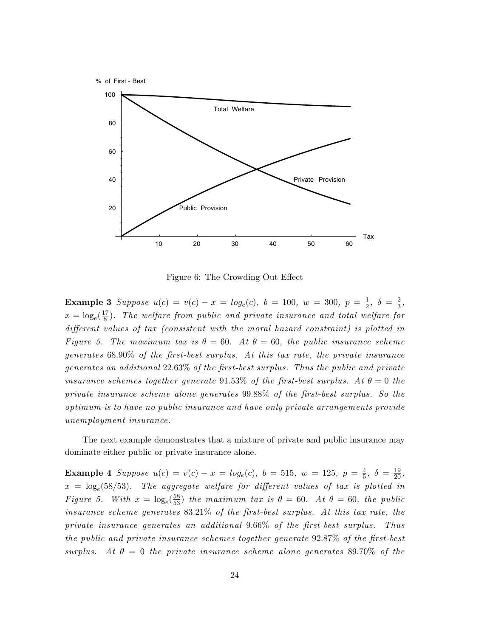

Figure 6: The Crowding-Out Effect

**Example 3** Suppose  $u(c) = v(c) - x = log_e(c)$ ,  $b = 100$ ,  $w = 300$ ,  $p = \frac{1}{2}$  $\frac{1}{2}, \delta = \frac{2}{3}$  $\frac{2}{3}$ ,  $x = \log_e(\frac{17}{8})$  $\frac{d\Gamma}{8}$ ). The welfare from public and private insurance and total welfare for different values of tax (consistent with the moral hazard constraint) is plotted in Figure 5. The maximum tax is  $\theta = 60$ . At  $\theta = 60$ , the public insurance scheme generates 68.90% of the first-best surplus. At this tax rate, the private insurance generates an additional 22.63% of the first-best surplus. Thus the public and private insurance schemes together generate 91.53% of the first-best surplus. At  $\theta = 0$  the private insurance scheme alone generates 99.88% of the first-best surplus. So the optimum is to have no public insurance and have only private arrangements provide unemployment insurance.

The next example demonstrates that a mixture of private and public insurance may dominate either public or private insurance alone.

**Example 4** Suppose  $u(c) = v(c) - x = log_e(c)$ ,  $b = 515$ ,  $w = 125$ ,  $p = \frac{4}{5}$  $\frac{4}{5}, \delta = \frac{19}{20},$  $x = \log_e(58/53)$ . The aggregate welfare for different values of tax is plotted in Figure 5. With  $x = \log_e(\frac{58}{53})$  the maximum tax is  $\theta = 60$ . At  $\theta = 60$ , the public insurance scheme generates 83.21% of the first-best surplus. At this tax rate, the private insurance generates an additional 9.66% of the first-best surplus. Thus the public and private insurance schemes together generate 92.87% of the first-best surplus. At  $\theta = 0$  the private insurance scheme alone generates 89.70% of the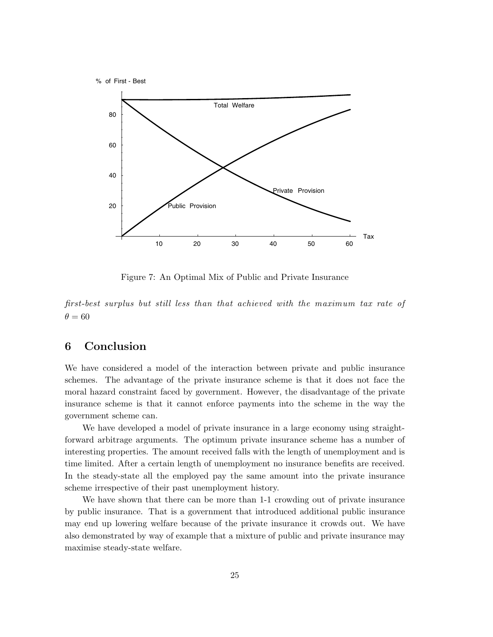

Figure 7: An Optimal Mix of Public and Private Insurance

first-best surplus but still less than that achieved with the maximum tax rate of  $\theta = 60$ 

# 6 Conclusion

We have considered a model of the interaction between private and public insurance schemes. The advantage of the private insurance scheme is that it does not face the moral hazard constraint faced by government. However, the disadvantage of the private insurance scheme is that it cannot enforce payments into the scheme in the way the government scheme can.

We have developed a model of private insurance in a large economy using straightforward arbitrage arguments. The optimum private insurance scheme has a number of interesting properties. The amount received falls with the length of unemployment and is time limited. After a certain length of unemployment no insurance benefits are received. In the steady-state all the employed pay the same amount into the private insurance scheme irrespective of their past unemployment history.

We have shown that there can be more than 1-1 crowding out of private insurance by public insurance. That is a government that introduced additional public insurance may end up lowering welfare because of the private insurance it crowds out. We have also demonstrated by way of example that a mixture of public and private insurance may maximise steady-state welfare.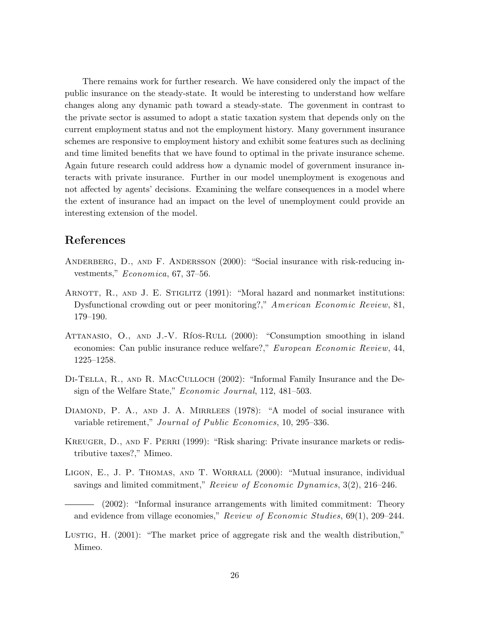There remains work for further research. We have considered only the impact of the public insurance on the steady-state. It would be interesting to understand how welfare changes along any dynamic path toward a steady-state. The govenment in contrast to the private sector is assumed to adopt a static taxation system that depends only on the current employment status and not the employment history. Many government insurance schemes are responsive to employment history and exhibit some features such as declining and time limited benefits that we have found to optimal in the private insurance scheme. Again future research could address how a dynamic model of government insurance interacts with private insurance. Further in our model unemployment is exogenous and not affected by agents' decisions. Examining the welfare consequences in a model where the extent of insurance had an impact on the level of unemployment could provide an interesting extension of the model.

# References

- ANDERBERG, D., AND F. ANDERSSON (2000): "Social insurance with risk-reducing investments," Economica, 67, 37–56.
- ARNOTT, R., AND J. E. STIGLITZ (1991): "Moral hazard and nonmarket institutions: Dysfunctional crowding out or peer monitoring?," American Economic Review, 81, 179–190.
- ATTANASIO, O., AND J.-V. RÍOS-RULL (2000): "Consumption smoothing in island economies: Can public insurance reduce welfare?," European Economic Review, 44, 1225–1258.
- Di-Tella, R., and R. MacCulloch (2002): "Informal Family Insurance and the Design of the Welfare State," Economic Journal, 112, 481–503.
- DIAMOND, P. A., AND J. A. MIRRLEES (1978): "A model of social insurance with variable retirement," Journal of Public Economics, 10, 295–336.
- Kreuger, D., and F. Perri (1999): "Risk sharing: Private insurance markets or redistributive taxes?," Mimeo.
- LIGON, E., J. P. THOMAS, AND T. WORRALL (2000): "Mutual insurance, individual savings and limited commitment," Review of Economic Dynamics, 3(2), 216–246.

Lustig, H. (2001): "The market price of aggregate risk and the wealth distribution," Mimeo.

<sup>(2002): &</sup>quot;Informal insurance arrangements with limited commitment: Theory and evidence from village economies," Review of Economic Studies, 69(1), 209–244.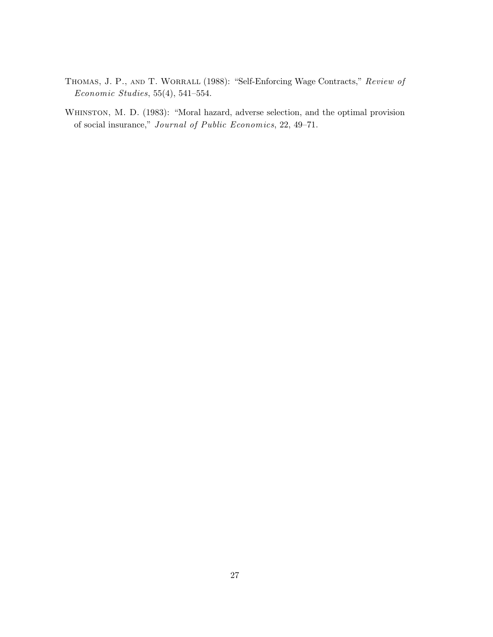- THOMAS, J. P., AND T. WORRALL (1988): "Self-Enforcing Wage Contracts," Review of Economic Studies, 55(4), 541–554.
- WHINSTON, M. D. (1983): "Moral hazard, adverse selection, and the optimal provision of social insurance," Journal of Public Economics, 22, 49–71.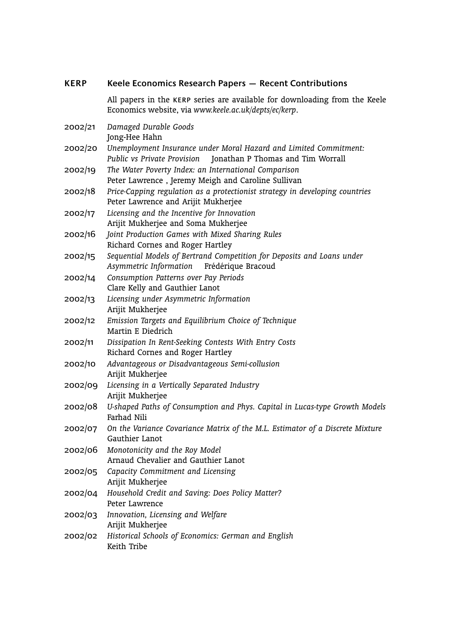| <b>KERP</b> | Keele Economics Research Papers - Recent Contributions                                                                                |
|-------------|---------------------------------------------------------------------------------------------------------------------------------------|
|             | All papers in the KERP series are available for downloading from the Keele<br>Economics website, via www.keele.ac.uk/depts/ec/kerp.   |
| 2002/21     | Damaged Durable Goods<br>Jong-Hee Hahn                                                                                                |
| 2002/20     | Unemployment Insurance under Moral Hazard and Limited Commitment:<br>Public vs Private Provision<br>Jonathan P Thomas and Tim Worrall |
| 2002/19     | The Water Poverty Index: an International Comparison<br>Peter Lawrence, Jeremy Meigh and Caroline Sullivan                            |
| 2002/18     | Price-Capping regulation as a protectionist strategy in developing countries<br>Peter Lawrence and Arijit Mukherjee                   |
| 2002/17     | Licensing and the Incentive for Innovation<br>Arijit Mukherjee and Soma Mukherjee                                                     |
| 2002/16     | Joint Production Games with Mixed Sharing Rules<br>Richard Cornes and Roger Hartley                                                   |
| 2002/15     | Sequential Models of Bertrand Competition for Deposits and Loans under<br>Asymmetric Information<br>Frédérique Bracoud                |
| 2002/14     | Consumption Patterns over Pay Periods<br>Clare Kelly and Gauthier Lanot                                                               |
| 2002/13     | Licensing under Asymmetric Information<br>Arijit Mukherjee                                                                            |
| 2002/12     | Emission Targets and Equilibrium Choice of Technique<br>Martin E Diedrich                                                             |
| 2002/11     | Dissipation In Rent-Seeking Contests With Entry Costs<br>Richard Cornes and Roger Hartley                                             |
| 2002/10     | Advantageous or Disadvantageous Semi-collusion<br>Arijit Mukherjee                                                                    |
| 2002/09     | Licensing in a Vertically Separated Industry<br>Arijit Mukherjee                                                                      |
| 2002/08     | U-shaped Paths of Consumption and Phys. Capital in Lucas-type Growth Models<br>Farhad Nili                                            |
| 2002/07     | On the Variance Covariance Matrix of the M.L. Estimator of a Discrete Mixture<br>Gauthier Lanot                                       |
| 2002/06     | Monotonicity and the Roy Model<br>Arnaud Chevalier and Gauthier Lanot                                                                 |
| 2002/05     | Capacity Commitment and Licensing<br>Arijit Mukherjee                                                                                 |
| 2002/04     | Household Credit and Saving: Does Policy Matter?<br>Peter Lawrence                                                                    |
| 2002/03     | Innovation, Licensing and Welfare<br>Arijit Mukherjee                                                                                 |
| 2002/02     | Historical Schools of Economics: German and English<br>Keith Tribe                                                                    |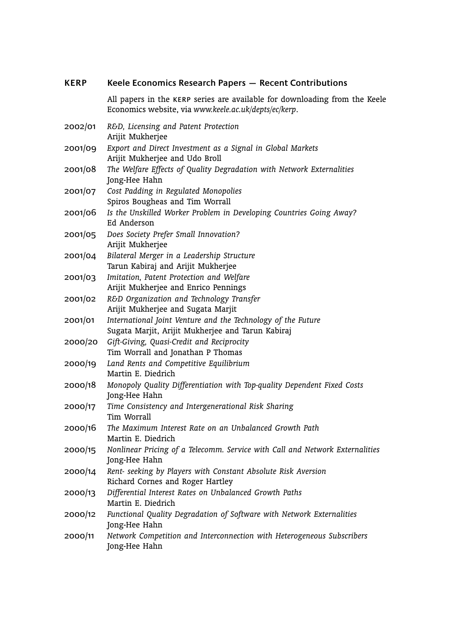| <b>KERP</b> | Keele Economics Research Papers - Recent Contributions                                                                              |
|-------------|-------------------------------------------------------------------------------------------------------------------------------------|
|             | All papers in the KERP series are available for downloading from the Keele<br>Economics website, via www.keele.ac.uk/depts/ec/kerp. |
| 2002/01     | R&D, Licensing and Patent Protection<br>Arijit Mukherjee                                                                            |
| 2001/09     | Export and Direct Investment as a Signal in Global Markets<br>Arijit Mukherjee and Udo Broll                                        |
| 2001/08     | The Welfare Effects of Quality Degradation with Network Externalities<br>Jong-Hee Hahn                                              |
| 2001/07     | Cost Padding in Regulated Monopolies<br>Spiros Bougheas and Tim Worrall                                                             |
| 2001/06     | Is the Unskilled Worker Problem in Developing Countries Going Away?<br>Ed Anderson                                                  |
| 2001/05     | Does Society Prefer Small Innovation?<br>Arijit Mukherjee                                                                           |
| 2001/04     | Bilateral Merger in a Leadership Structure<br>Tarun Kabiraj and Arijit Mukherjee                                                    |
| 2001/03     | Imitation, Patent Protection and Welfare<br>Arijit Mukherjee and Enrico Pennings                                                    |
| 2001/02     | R&D Organization and Technology Transfer<br>Arijit Mukherjee and Sugata Marjit                                                      |
| 2001/01     | International Joint Venture and the Technology of the Future<br>Sugata Marjit, Arijit Mukherjee and Tarun Kabiraj                   |
| 2000/20     | Gift-Giving, Quasi-Credit and Reciprocity<br>Tim Worrall and Jonathan P Thomas                                                      |
| 2000/19     | Land Rents and Competitive Equilibrium<br>Martin E. Diedrich                                                                        |
| 2000/18     | Monopoly Quality Differentiation with Top-quality Dependent Fixed Costs<br>Jong-Hee Hahn                                            |
| 2000/17     | Time Consistency and Intergenerational Risk Sharing<br>Tim Worrall                                                                  |
| 2000/16     | The Maximum Interest Rate on an Unbalanced Growth Path<br>Martin E. Diedrich                                                        |
| 2000/15     | Nonlinear Pricing of a Telecomm. Service with Call and Network Externalities<br>Jong-Hee Hahn                                       |
| 2000/14     | Rent- seeking by Players with Constant Absolute Risk Aversion<br>Richard Cornes and Roger Hartley                                   |
| 2000/13     | Differential Interest Rates on Unbalanced Growth Paths<br>Martin E. Diedrich                                                        |
| 2000/12     | Functional Quality Degradation of Software with Network Externalities<br>Jong-Hee Hahn                                              |
| 2000/11     | Network Competition and Interconnection with Heterogeneous Subscribers<br>Jong-Hee Hahn                                             |